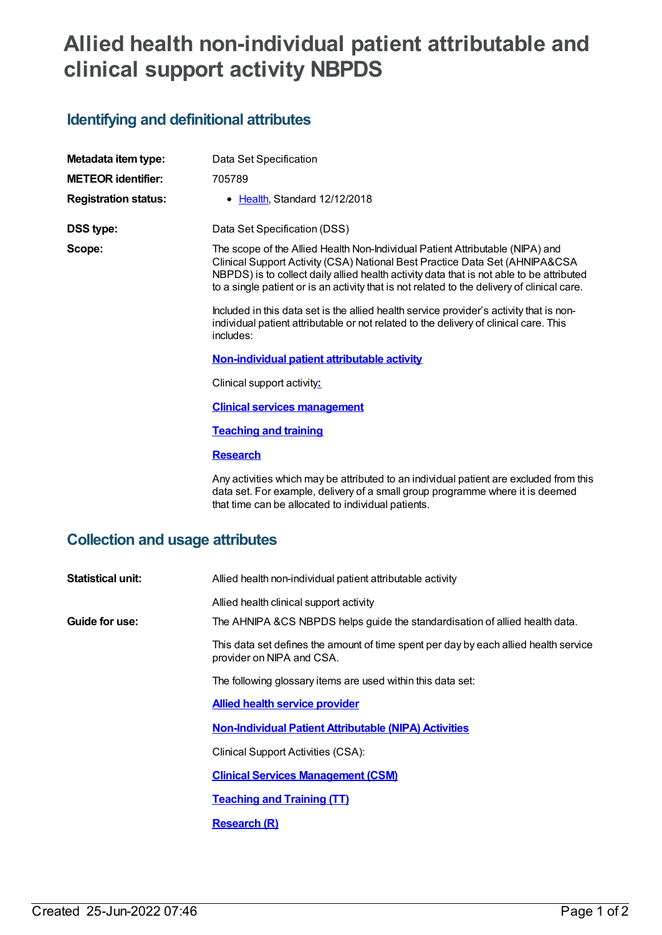# **Allied health non-individual patient attributable and clinical support activity NBPDS**

## **Identifying and definitional attributes**

| Metadata item type:                    | Data Set Specification                                                                                                                                                                                                                                                                                                                                  |
|----------------------------------------|---------------------------------------------------------------------------------------------------------------------------------------------------------------------------------------------------------------------------------------------------------------------------------------------------------------------------------------------------------|
| <b>METEOR identifier:</b>              | 705789                                                                                                                                                                                                                                                                                                                                                  |
| <b>Registration status:</b>            | • Health, Standard 12/12/2018                                                                                                                                                                                                                                                                                                                           |
| <b>DSS type:</b>                       | Data Set Specification (DSS)                                                                                                                                                                                                                                                                                                                            |
| Scope:                                 | The scope of the Allied Health Non-Individual Patient Attributable (NIPA) and<br>Clinical Support Activity (CSA) National Best Practice Data Set (AHNIPA&CSA<br>NBPDS) is to collect daily allied health activity data that is not able to be attributed<br>to a single patient or is an activity that is not related to the delivery of clinical care. |
|                                        | Included in this data set is the allied health service provider's activity that is non-<br>individual patient attributable or not related to the delivery of clinical care. This<br>includes:                                                                                                                                                           |
|                                        | Non-individual patient attributable activity                                                                                                                                                                                                                                                                                                            |
|                                        | Clinical support activity:                                                                                                                                                                                                                                                                                                                              |
|                                        | <b>Clinical services management</b>                                                                                                                                                                                                                                                                                                                     |
|                                        | <b>Teaching and training</b>                                                                                                                                                                                                                                                                                                                            |
|                                        | <b>Research</b>                                                                                                                                                                                                                                                                                                                                         |
|                                        | Any activities which may be attributed to an individual patient are excluded from this<br>data set. For example, delivery of a small group programme where it is deemed<br>that time can be allocated to individual patients.                                                                                                                           |
| <b>Collection and usage attributes</b> |                                                                                                                                                                                                                                                                                                                                                         |

| The AHNIPA &CS NBPDS helps guide the standardisation of allied health data.          |
|--------------------------------------------------------------------------------------|
| This data set defines the amount of time spent per day by each allied health service |
|                                                                                      |
|                                                                                      |
|                                                                                      |
|                                                                                      |
|                                                                                      |
|                                                                                      |
|                                                                                      |
|                                                                                      |